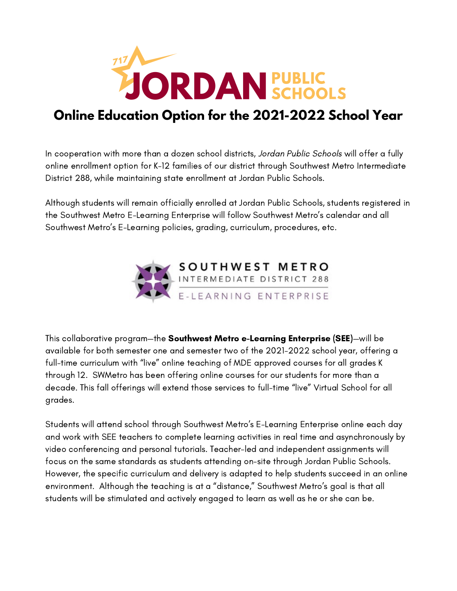

# **Online Education Option for the 2021-2022 School Year**

In cooperation with more than a dozen school districts, Jordan Public Schools will offer a fully online enrollment option for K-12 families of our district through Southwest Metro Intermediate District 288, while maintaining state enrollment at Jordan Public Schools.

Although students will remain officially enrolled at Jordan Public Schools, students registered in the Southwest Metro E-Learning Enterprise will follow Southwest Metro's calendar and all Southwest Metro's E-Learning policies, grading, curriculum, procedures, etc.



This collaborative program—the Southwest Metro e-Learning Enterprise (SEE)—will be available for both semester one and semester two of the 2021-2022 school year, offering a full-time curriculum with "live" online teaching of MDE approved courses for all grades K through 12. SWMetro has been offering online courses for our students for more than a decade. This fall offerings will extend those services to full-time "live" Virtual School for all grades.

Students will attend school through Southwest Metro's E-Learning Enterprise online each day and work with SEE teachers to complete learning activities in real time and asynchronously by video conferencing and personal tutorials. Teacher-led and independent assignments will focus on the same standards as students attending on-site through Jordan Public Schools. However, the specific curriculum and delivery is adapted to help students succeed in an online environment. Although the teaching is at a "distance," Southwest Metro's goal is that all students will be stimulated and actively engaged to learn as well as he or she can be.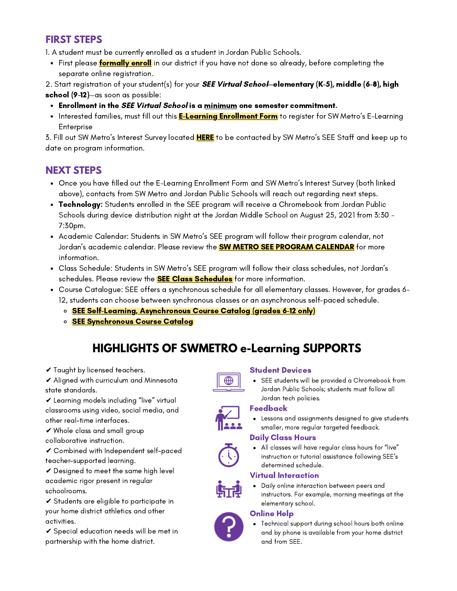## **FIRST STEPS**

1. A student must be currently enrolled as a student in Jordan Public Schools.

• First please [formally enroll](https://www.jordan.k12.mn.us/enroll) in our district if you have not done so already, before completing the separate online registration.

2. Start registration of your student(s) for your **SEE Virtual School—elementary (K-5), middle (6-8), high** school (9-12)—as soon as possible:

- Enrollment in the SEE Virtual School is a minimum one semester commitment.
- Interested families, must fill out this <mark>[E-Learning Enrollment Form](https://docs.google.com/forms/d/e/1FAIpQLScMa959Y6qXVISe99jW3mRxUfAIy0tRJHwIN5jqdmN7aYkkAw/viewform?usp=sf_link)</mark> to register for SW Metro's E-Learning Enterprise

3. Fill out SW Metro's Interest Survey located **HERE** to be contacted by SW Metro's SEE Staff and keep up to date on program information.

## **NEXT STEPS**

- Once you have filled out the E-Learning Enrollment Form and SW Metro's Interest Survey (both linked above), contacts from SW Metro and Jordan Public Schools will reach out regarding next steps.
- **Technology:** Students enrolled in the SEE program will receive a Chromebook from Jordan Public Schools during device distribution night at the Jordan Middle School on August 25, 2021 from 3:30 - 7:30pm.
- Academic Calendar: Students in SW Metro's SEE program will follow their program calendar, not Jordan's academic calendar. Please review the **SW METRO SEE PROGRAM CALENDAR** for more information.
- Class Schedule: Students in SW Metro's SEE program will follow their class schedules, not Jordan's schedules. Please review the **SEE Class Schedules** for more information.
- Course Catalogue: SEE offers a synchronous schedule for all elementary classes. However, for grades 6- 12, students can choose between synchronous classes or an asynchronous self-paced schedule.
	- o [SEE Self-Learning, Asynchronous Course Catalog \(grades 6-12 only\)](https://drive.google.com/file/d/16BrXW9uw6_7rN6f7hlR6AhhICmTePhVz/view?usp=sharing)
	- **[SEE Synchronous Course Catalog](https://drive.google.com/file/d/1I6vXdfg4hPL9woNNZAY5wYzQK1ioV6DS/view?usp=sharing)**

# **HIGHLIGHTS OF SWMETRO e-Learning SUPPORTS**

- ✔ Taught by licensed teachers.
- ✔ Aligned with curriculum and Minnesota state standards.
- ✔ Learning models including "live" virtual classrooms using video, social media, and other real-time interfaces.
- ✔ Whole class and small group
- collaborative instruction.
- ✔ Combined with Independent self-paced teacher-supported learning.

✔ Designed to meet the same high level academic rigor present in regular schoolrooms.

✔ Students are eligible to participate in your home district athletics and other activities.

✔ Special education needs will be met in partnership with the home district.

#### Student Devices

SEE students will be provided a Chromebook from Jordan Public Schools; students must follow all Jordan tech policies.

### Feedback

Lessons and assignments designed to give students smaller, more regular targeted feedback.

#### Daily Class Hours

All classes will have regular class hours for "live" instruction or tutorial assistance following SEE's determined schedule.

### Virtual Interaction

Daily online interaction between peers and instructors. For example, morning meetings at the elementary school.

#### Online Help



Technical support during school hours both online and by phone is available from your home district and from SEE.